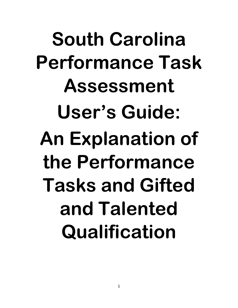South Carolina Performance Task Assessment User's Guide: An Explanation of the Performance Tasks and Gifted and Talented Qualification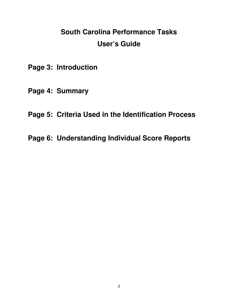# **South Carolina Performance Tasks User's Guide**

- **Page 3: Introduction**
- **Page 4: Summary**
- **Page 5: Criteria Used in the Identification Process**
- **Page 6: Understanding Individual Score Reports**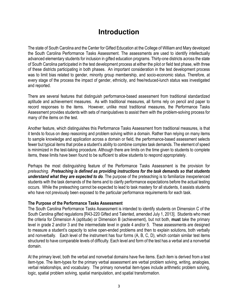## **Introduction**

The state of South Carolina and the Center for Gifted Education at the College of William and Mary developed the South Carolina Performance Tasks Assessment. The assessments are used to identify intellectually advanced elementary students for inclusion in gifted education programs. Thirty-one districts across the state of South Carolina participated in the test development process at either the pilot or field test phase, with three of these districts participating in both phases. An important consideration in the test development process was to limit bias related to gender, minority group membership, and socio-economic status. Therefore, at every stage of the process the impact of gender, ethnicity, and free/reduced-lunch status was investigated and reported.

There are several features that distinguish performance-based assessment from traditional standardized aptitude and achievement measures. As with traditional measures, all forms rely on pencil and paper to record responses to the items. However, unlike most traditional measures, the Performance Tasks Assessment provides students with sets of manipulatives to assist them with the problem-solving process for many of the items on the test.

Another feature, which distinguishes this Performance Tasks Assessment from traditional measures, is that it tends to focus on deep reasoning and problem solving within a domain. Rather than relying on many items to sample knowledge and application across a domain or field, the performance-based assessment selects fewer but typical items that probe a student's ability to combine complex task demands. The element of speed is minimized in the test-taking procedure. Although there are limits on the time given to students to complete items, these limits have been found to be sufficient to allow students to respond appropriately.

Perhaps the most distinguishing feature of the Performance Tasks Assessment is the provision for preteaching. Preteaching is defined as providing instructions for the task demands so that students understand what they are expected to do. The purpose of the preteaching is to familiarize inexperienced students with the task demands of the items and to clarify performance expectations before the actual testing occurs. While the preteaching cannot be expected to lead to task mastery for all students, it assists students who have not previously been exposed to the particular performance requirements for each task.

#### The Purpose of the Performance Tasks Assessment

The South Carolina Performance Tasks Assessment is intended to identify students on Dimension C of the South Carolina gifted regulations [R43-220 Gifted and Talented, amended July 1, 2013]. Students who meet the criteria for Dimension A (aptitude) or Dimension B (achievement), but not both, must take the primary level in grade 2 and/or 3 and the intermediate level in grade 4 and/or 5. These assessments are designed to measure a student's capacity to solve open-ended problems and then to explain solutions, both verbally and nonverbally. Each level of the instrument has four forms (A, B, C, D), which contain similar test items structured to have comparable levels of difficulty. Each level and form of the test has a verbal and a nonverbal domain.

At the primary level, both the verbal and nonverbal domains have five items. Each item is derived from a test item-type. The item-types for the primary verbal assessment are verbal problem solving, writing, analogies, verbal relationships, and vocabulary. The primary nonverbal item-types include arithmetic problem solving, logic, spatial problem solving, spatial manipulation, and spatial transformation.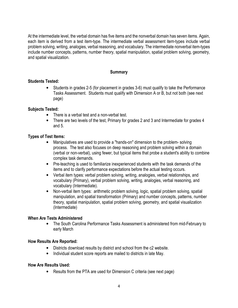At the intermediate level, the verbal domain has five items and the nonverbal domain has seven items. Again, each item is derived from a test item-type. The intermediate verbal assessment item-types include verbal problem solving, writing, analogies, verbal reasoning, and vocabulary. The intermediate nonverbal item-types include number concepts, patterns, number theory, spatial manipulation, spatial problem solving, geometry, and spatial visualization.

#### **Summary**

#### Students Tested:

• Students in grades 2-5 (for placement in grades 3-6) must qualify to take the Performance Tasks Assessment. Students must qualify with Dimension A or B, but not both (see next page)

#### Subjects Tested:

- There is a verbal test and a non-verbal test.
- There are two levels of the test, Primary for grades 2 and 3 and Intermediate for grades 4 and 5.

### Types of Test Items:

- Manipulatives are used to provide a "hands-on" dimension to the problem- solving process. The test also focuses on deep reasoning and problem solving within a domain (verbal or non-verbal), using fewer, but typical items that probe a student's ability to combine complex task demands.
- Pre-teaching is used to familiarize inexperienced students with the task demands of the items and to clarify performance expectations before the actual testing occurs.
- Verbal item types: verbal problem solving, writing, analogies, verbal relationships, and vocabulary (Primary), verbal problem solving, writing, analogies, verbal reasoning, and vocabulary (Intermediate).
- Non-verbal item types: arithmetic problem solving, logic, spatial problem solving, spatial manipulation, and spatial transformation (Primary) and number concepts, patterns, number theory, spatial manipulation, spatial problem solving, geometry, and spatial visualization (Intermediate)

#### When Are Tests Administered

• The South Carolina Performance Tasks Assessment is administered from mid-February to early March

#### How Results Are Reported:

- Districts download results by district and school from the c2 website.
- Individual student score reports are mailed to districts in late May.

#### How Are Results Used:

• Results from the PTA are used for Dimension C criteria (see next page)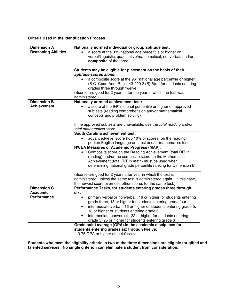#### **Criteria Used in the Identification Process**

| <b>Dimension A</b>         | Nationally normed individual or group aptitude test:                                   |
|----------------------------|----------------------------------------------------------------------------------------|
| <b>Reasoning Abilities</b> | a score at the 93 <sup>rd</sup> national age percentile or higher on                   |
|                            | verbal/linguistic, quantitative/mathematical, nonverbal, and/or a                      |
|                            | composite of the three                                                                 |
|                            |                                                                                        |
|                            | Students may be eligible for placement on the basis of their                           |
|                            | aptitude scores alone:                                                                 |
|                            | a composite score at the 96 <sup>th</sup> national age percentile or higher            |
|                            | (S.C. Code Ann. Regs. 43-220.2 (B)(5)(c) for students entering                         |
|                            | grades three through twelve                                                            |
|                            | (Scores are good for 2 years after the year in which the test was                      |
|                            | administered.)                                                                         |
| <b>Dimension B</b>         | Nationally normed achievement test:                                                    |
| <b>Achievement</b>         | a score at the 94 <sup>th</sup> national percentile or higher on approved<br>$\bullet$ |
|                            | subtests (reading comprehension and/or mathematical                                    |
|                            | concepts and problem solving)                                                          |
|                            |                                                                                        |
|                            | If the approved subtests are unavailable, use the total reading and/or                 |
|                            | total mathematics score.                                                               |
|                            | <b>South Carolina achievement test:</b>                                                |
|                            | advanced-level score (top 10% of scores) on the reading<br>$\bullet$                   |
|                            | portion English language arts test and/or mathematics test                             |
|                            | <b>NWEA Measures of Academic Progress (MAP):</b>                                       |
|                            | Composite score on the Reading Achievement (total RIT in                               |
|                            | reading) and/or the composite score on the Mathematics                                 |
|                            | Achievement (total RIT in math) must be used when                                      |
|                            | determining national grade percentile ranking for Dimension B                          |
|                            | (Scores are good for 2 years after year in which the test is                           |
|                            | administered, unless the same test is administered again. In this case,                |
|                            | the newest score overrides other scores for the same test.)                            |
| <b>Dimension C</b>         | Performance Tasks, for students entering grades three through                          |
| <b>Academic</b>            | six:                                                                                   |
| <b>Performance</b>         | primary verbal or nonverbal: 16 or higher for students entering<br>$\bullet$           |
|                            | grade three; 18 or higher for students entering grade four                             |
|                            | intermediate verbal: 16 or higher or students entering grade 5;<br>$\bullet$           |
|                            | 18 or higher or students entering grade 6                                              |
|                            | intermediate nonverbal: 22 or higher for students entering<br>$\bullet$                |
|                            | grade 5; 25 or higher for students entering grade 6                                    |
|                            | Grade point average (GPA) in the academic disciplines for                              |
|                            | students entering grades six through twelve:                                           |
|                            | * 3.75 GPA or higher on a 4.0 scale                                                    |

**Students who meet the eligibility criteria in two of the three dimensions are eligible for gifted and talented services. No single criterion can eliminate a student from consideration.**